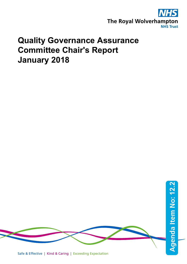

## **Quality Governance Assurance Committee Chair's Report January 2018**

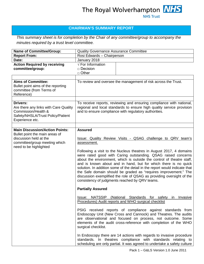## **CHAIRMAN'S SUMMARY REPORT**

*This summary sheet is for completion by the Chair of any committee/group to accompany the minutes required by a trust level committee.* 

| <b>Name of Committee/Group:</b>                                                                                                                              | <b>Quality Governance Assurance Committee</b>                                                                                                                                                                                                                                                                                                                                                                                                                                                                                                                                                                                                                       |                                                                                                                                                                                                                  |
|--------------------------------------------------------------------------------------------------------------------------------------------------------------|---------------------------------------------------------------------------------------------------------------------------------------------------------------------------------------------------------------------------------------------------------------------------------------------------------------------------------------------------------------------------------------------------------------------------------------------------------------------------------------------------------------------------------------------------------------------------------------------------------------------------------------------------------------------|------------------------------------------------------------------------------------------------------------------------------------------------------------------------------------------------------------------|
| <b>Report From:</b>                                                                                                                                          | Rosi Edwards - Chairperson                                                                                                                                                                                                                                                                                                                                                                                                                                                                                                                                                                                                                                          |                                                                                                                                                                                                                  |
| Date:                                                                                                                                                        | January 2018                                                                                                                                                                                                                                                                                                                                                                                                                                                                                                                                                                                                                                                        |                                                                                                                                                                                                                  |
| <b>Action Required by receiving</b><br>committee/group:                                                                                                      | $\sqrt{\text{For}}$ Information<br>$\Box$ Decision<br>$\Box$ Other                                                                                                                                                                                                                                                                                                                                                                                                                                                                                                                                                                                                  |                                                                                                                                                                                                                  |
|                                                                                                                                                              |                                                                                                                                                                                                                                                                                                                                                                                                                                                                                                                                                                                                                                                                     |                                                                                                                                                                                                                  |
| <b>Aims of Committee:</b><br>Bullet point aims of the reporting<br>committee (from Terms of<br>Reference)                                                    |                                                                                                                                                                                                                                                                                                                                                                                                                                                                                                                                                                                                                                                                     | To review and oversee the management of risk across the Trust.                                                                                                                                                   |
| <b>Drivers:</b><br>Are there any links with Care Quality<br>Commission/Health &<br>Safety/NHSLA/Trust Policy/Patient<br>Experience etc.                      | To receive reports, reviewing and ensuring compliance with national,<br>regional and local standards to ensure high quality service provision<br>and to ensure compliance with regulatory authorities.                                                                                                                                                                                                                                                                                                                                                                                                                                                              |                                                                                                                                                                                                                  |
|                                                                                                                                                              |                                                                                                                                                                                                                                                                                                                                                                                                                                                                                                                                                                                                                                                                     |                                                                                                                                                                                                                  |
| <b>Main Discussion/Action Points:</b><br>Bullet point the main areas of<br>discussion held at the<br>committee/group meeting which<br>need to be highlighted | <b>Assured</b><br><b>Issue: Quality Review Visits - QSAG challenge to QRV team's</b><br>assessment.<br>Following a visit to the Nucleus theatres in August 2017, 4 domains<br>were rated good with Caring outstanding. QSAG raised concerns<br>about the environment, which is outside the control of theatre staff,<br>and is known about and in hand, but for which there is no quick<br>solution. In addition some of the detail in the report would indicate that<br>the Safe domain should be graded as "requires improvement." The<br>discussion exemplified the role of QSAG as providing oversight of the<br>consistency of judgments reached by QRV teams. |                                                                                                                                                                                                                  |
|                                                                                                                                                              | <b>Partially Assured</b>                                                                                                                                                                                                                                                                                                                                                                                                                                                                                                                                                                                                                                            |                                                                                                                                                                                                                  |
|                                                                                                                                                              |                                                                                                                                                                                                                                                                                                                                                                                                                                                                                                                                                                                                                                                                     | Issue: NATSSIP (National Standards for safety in Invasive<br>Procedures) Audit reports and WHO surgical checklist                                                                                                |
|                                                                                                                                                              | PSIG received reports of compliance against standards from<br>Endoscopy Unit (New Cross and Cannock) and Theatres. The audits<br>are observational and focused on process, not outcome. Some<br>elements of the audit cross-reference with completion of the WHO<br>surgical checklist.                                                                                                                                                                                                                                                                                                                                                                             |                                                                                                                                                                                                                  |
|                                                                                                                                                              |                                                                                                                                                                                                                                                                                                                                                                                                                                                                                                                                                                                                                                                                     | In Endoscopy there are 14 actions with regards to invasive procedure<br>standards. In theatres compliance with standards relating to<br>scheduling are only partial. It was agreed to undertake a safety culture |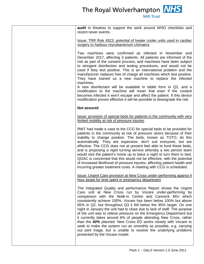The Royal Wolverhampton **NHS** 

| <b>audit</b> in theatres to support the work around WHO checklists and<br>recent never events.                                                                                                                                                                                                                                                                                                                                                                                                                                                                                                                                                                                                                                                                                                           |
|----------------------------------------------------------------------------------------------------------------------------------------------------------------------------------------------------------------------------------------------------------------------------------------------------------------------------------------------------------------------------------------------------------------------------------------------------------------------------------------------------------------------------------------------------------------------------------------------------------------------------------------------------------------------------------------------------------------------------------------------------------------------------------------------------------|
| Issue: TRR Risk 4523: potential of heater cooler units used in cardiac<br>surgery to harbour mycobacterium chimaera                                                                                                                                                                                                                                                                                                                                                                                                                                                                                                                                                                                                                                                                                      |
| Two machines were confirmed as infected in November and<br>December 2017, affecting 3 patients. All patients are informed of the<br>risk as part of the consent process, and machines have been subject<br>to stringent disinfection and testing procedures, and would not be<br>used if they test positive. This is an international problem and the<br>manufacturer replaces free of charge all machines which test positive.<br>They have loaned us a new machine to replace the infected<br>machines.<br>A new disinfectant will be available in tablet form in Q2, and a<br>modification to the machine will mean that even if the coolant<br>becomes infected it won't escape and affect the patient. If this device                                                                               |
| modification proves effective it will be possible to downgrade the risk.                                                                                                                                                                                                                                                                                                                                                                                                                                                                                                                                                                                                                                                                                                                                 |
| <b>Not assured</b>                                                                                                                                                                                                                                                                                                                                                                                                                                                                                                                                                                                                                                                                                                                                                                                       |
| Issue: provision of special beds for patients in the community with very<br>limited mobility at risk of pressure injuries.                                                                                                                                                                                                                                                                                                                                                                                                                                                                                                                                                                                                                                                                               |
| RWT had made a case to the CCG for special beds to be provided for<br>patients in the community at risk of pressure ulcers because of their<br>inability to change position. The beds, known as TOTO, do this<br>automatically. They are expensive, don't suit everyone, but are<br>effective. The CCG does not at present feel able to fund these beds,<br>and is proposing a night turning service whereby a two person team<br>would visit the patient's home up to twice a night to turn them in bed.<br>QGAC is concerned that this would not be effective, with the potential<br>of increased likelihood of pressure injuries, affecting patient health and<br>incurring greater treatment costs. A meeting with CCG is scheduled.                                                                 |
| Issue: Urgent Care provision at New Cross under-performing against 4<br>hour target for time spent in emergency department                                                                                                                                                                                                                                                                                                                                                                                                                                                                                                                                                                                                                                                                               |
| The Integrated Quality and performance Report shows the Urgent<br>Care unit at New Cross run by Vocare under-performing by<br>comparison with the Walk-in Centre and Cannock MIU which<br>consistently achieve 100%. Vocare has been below 100% but above<br>95% in Q2, but throughout Q3 it fell below the 95% target. On one<br>night in January the unit had to close due to lack of staff. The purpose<br>of the unit was to relieve pressure on the Emergency Department but<br>it currently takes around 6% of people attending New Cross, rather<br>than the 40% planned. New Cross ED works closely with Vocare to<br>seek to make the system run as smoothly as possible, e.g. carrying<br>out joint triage, but is unable to resolve the underlying problems<br>presented by the Vocare model. |
|                                                                                                                                                                                                                                                                                                                                                                                                                                                                                                                                                                                                                                                                                                                                                                                                          |